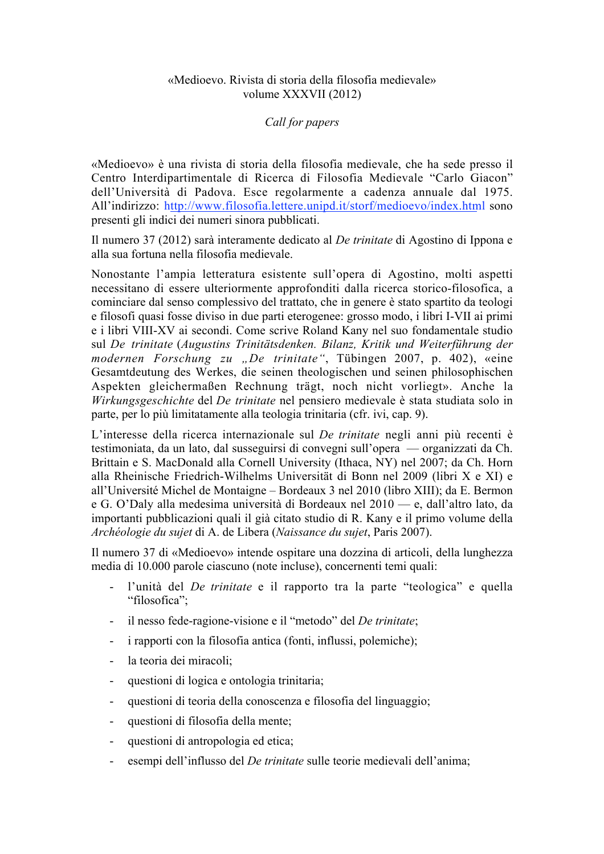## «Medioevo. Rivista di storia della filosofia medievale» volume XXXVII (2012)

## *Call for papers*

«Medioevo» è una rivista di storia della filosofia medievale, che ha sede presso il Centro Interdipartimentale di Ricerca di Filosofia Medievale "Carlo Giacon" dell'Università di Padova. Esce regolarmente a cadenza annuale dal 1975. All'indirizzo: http://www.filosofia.lettere.unipd.it/storf/medioevo/index.html sono presenti gli indici dei numeri sinora pubblicati.

Il numero 37 (2012) sarà interamente dedicato al *De trinitate* di Agostino di Ippona e alla sua fortuna nella filosofia medievale.

Nonostante l'ampia letteratura esistente sull'opera di Agostino, molti aspetti necessitano di essere ulteriormente approfonditi dalla ricerca storico-filosofica, a cominciare dal senso complessivo del trattato, che in genere è stato spartito da teologi e filosofi quasi fosse diviso in due parti eterogenee: grosso modo, i libri I-VII ai primi e i libri VIII-XV ai secondi. Come scrive Roland Kany nel suo fondamentale studio sul *De trinitate* (*Augustins Trinitätsdenken. Bilanz, Kritik und Weiterführung der modernen Forschung zu "De trinitate"*, Tübingen 2007, p. 402), «eine Gesamtdeutung des Werkes, die seinen theologischen und seinen philosophischen Aspekten gleichermaßen Rechnung trägt, noch nicht vorliegt». Anche la *Wirkungsgeschichte* del *De trinitate* nel pensiero medievale è stata studiata solo in parte, per lo più limitatamente alla teologia trinitaria (cfr. ivi, cap. 9).

L'interesse della ricerca internazionale sul *De trinitate* negli anni più recenti è testimoniata, da un lato, dal susseguirsi di convegni sull'opera — organizzati da Ch. Brittain e S. MacDonald alla Cornell University (Ithaca, NY) nel 2007; da Ch. Horn alla Rheinische Friedrich-Wilhelms Universität di Bonn nel 2009 (libri X e XI) e all'Université Michel de Montaigne – Bordeaux 3 nel 2010 (libro XIII); da E. Bermon e G. O'Daly alla medesima università di Bordeaux nel 2010 — e, dall'altro lato, da importanti pubblicazioni quali il già citato studio di R. Kany e il primo volume della *Archéologie du sujet* di A. de Libera (*Naissance du sujet*, Paris 2007).

Il numero 37 di «Medioevo» intende ospitare una dozzina di articoli, della lunghezza media di 10.000 parole ciascuno (note incluse), concernenti temi quali:

- l'unità del *De trinitate* e il rapporto tra la parte "teologica" e quella "filosofica";
- il nesso fede-ragione-visione e il "metodo" del *De trinitate*;
- i rapporti con la filosofia antica (fonti, influssi, polemiche);
- la teoria dei miracoli;
- questioni di logica e ontologia trinitaria;
- questioni di teoria della conoscenza e filosofia del linguaggio;
- questioni di filosofia della mente;
- questioni di antropologia ed etica;
- esempi dell'influsso del *De trinitate* sulle teorie medievali dell'anima;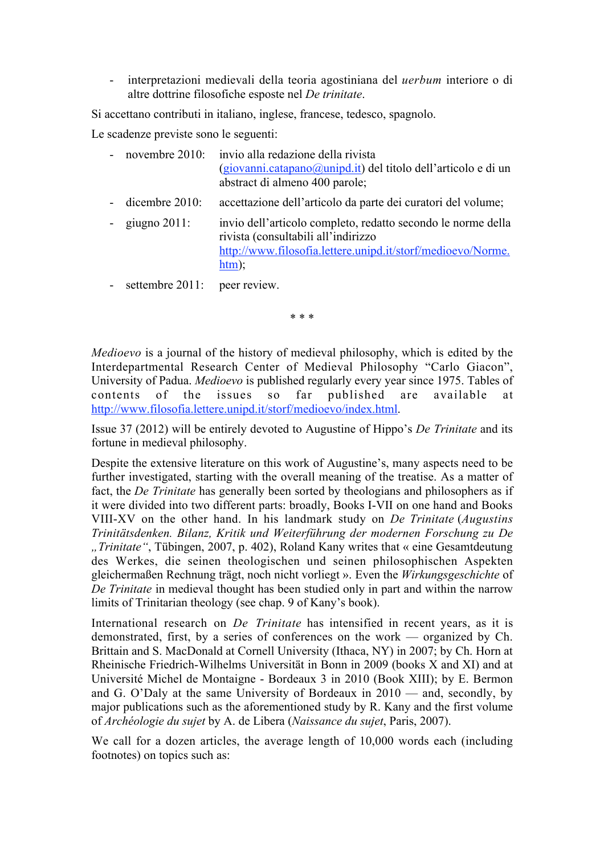- interpretazioni medievali della teoria agostiniana del *uerbum* interiore o di altre dottrine filosofiche esposte nel *De trinitate*.

Si accettano contributi in italiano, inglese, francese, tedesco, spagnolo.

Le scadenze previste sono le seguenti:

- novembre 2010: invio alla redazione della rivista  $(giovanni.catapano@unipd.it)$  del titolo dell'articolo e di un abstract di almeno 400 parole;
- dicembre 2010: accettazione dell'articolo da parte dei curatori del volume;
- giugno 2011: invio dell'articolo completo, redatto secondo le norme della rivista (consultabili all'indirizzo http://www.filosofia.lettere.unipd.it/storf/medioevo/Norme. htm);
- settembre 2011: peer review.

\* \* \*

*Medioevo* is a journal of the history of medieval philosophy, which is edited by the Interdepartmental Research Center of Medieval Philosophy "Carlo Giacon", University of Padua. *Medioevo* is published regularly every year since 1975. Tables of contents of the issues so far published are available at http://www.filosofia.lettere.unipd.it/storf/medioevo/index.html.

Issue 37 (2012) will be entirely devoted to Augustine of Hippo's *De Trinitate* and its fortune in medieval philosophy.

Despite the extensive literature on this work of Augustine's, many aspects need to be further investigated, starting with the overall meaning of the treatise. As a matter of fact, the *De Trinitate* has generally been sorted by theologians and philosophers as if it were divided into two different parts: broadly, Books I-VII on one hand and Books VIII-XV on the other hand. In his landmark study on *De Trinitate* (*Augustins Trinitätsdenken. Bilanz, Kritik und Weiterführung der modernen Forschung zu De "Trinitate"*, Tübingen, 2007, p. 402), Roland Kany writes that « eine Gesamtdeutung des Werkes, die seinen theologischen und seinen philosophischen Aspekten gleichermaßen Rechnung trägt, noch nicht vorliegt ». Even the *Wirkungsgeschichte* of *De Trinitate* in medieval thought has been studied only in part and within the narrow limits of Trinitarian theology (see chap. 9 of Kany's book).

International research on *De Trinitate* has intensified in recent years, as it is demonstrated, first, by a series of conferences on the work — organized by Ch. Brittain and S. MacDonald at Cornell University (Ithaca, NY) in 2007; by Ch. Horn at Rheinische Friedrich-Wilhelms Universität in Bonn in 2009 (books X and XI) and at Université Michel de Montaigne - Bordeaux 3 in 2010 (Book XIII); by E. Bermon and G. O'Daly at the same University of Bordeaux in 2010 — and, secondly, by major publications such as the aforementioned study by R. Kany and the first volume of *Archéologie du sujet* by A. de Libera (*Naissance du sujet*, Paris, 2007).

We call for a dozen articles, the average length of 10,000 words each (including footnotes) on topics such as: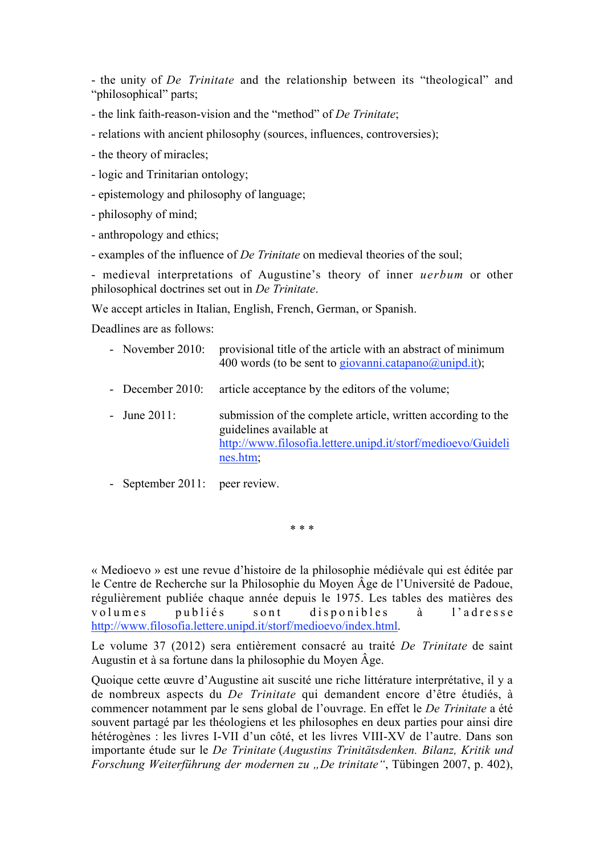- the unity of *De Trinitate* and the relationship between its "theological" and "philosophical" parts;

- the link faith-reason-vision and the "method" of *De Trinitate*;

- relations with ancient philosophy (sources, influences, controversies);

- the theory of miracles;

- logic and Trinitarian ontology;

- epistemology and philosophy of language;

- philosophy of mind;

- anthropology and ethics;

- examples of the influence of *De Trinitate* on medieval theories of the soul;

- medieval interpretations of Augustine's theory of inner *uerbum* or other philosophical doctrines set out in *De Trinitate*.

We accept articles in Italian, English, French, German, or Spanish.

Deadlines are as follows:

- November 2010: provisional title of the article with an abstract of minimum 400 words (to be sent to giovanni.catapano $(\partial_\mu u \cdot \mathbf{i})$ ;
- December 2010: article acceptance by the editors of the volume;
- June 2011: submission of the complete article, written according to the guidelines available at http://www.filosofia.lettere.unipd.it/storf/medioevo/Guideli nes.htm;
- September 2011: peer review.

\* \* \*

« Medioevo » est une revue d'histoire de la philosophie médiévale qui est éditée par le Centre de Recherche sur la Philosophie du Moyen Âge de l'Université de Padoue, régulièrement publiée chaque année depuis le 1975. Les tables des matières des volumes publiés sont disponibles à l'adresse http://www.filosofia.lettere.unipd.it/storf/medioevo/index.html.

Le volume 37 (2012) sera entièrement consacré au traité *De Trinitate* de saint Augustin et à sa fortune dans la philosophie du Moyen Âge.

Quoique cette œuvre d'Augustine ait suscité une riche littérature interprétative, il y a de nombreux aspects du *De Trinitate* qui demandent encore d'être étudiés, à commencer notamment par le sens global de l'ouvrage. En effet le *De Trinitate* a été souvent partagé par les théologiens et les philosophes en deux parties pour ainsi dire hétérogènes : les livres I-VII d'un côté, et les livres VIII-XV de l'autre. Dans son importante étude sur le *De Trinitate* (*Augustins Trinitätsdenken. Bilanz, Kritik und Forschung Weiterführung der modernen zu "De trinitate"*, Tübingen 2007, p. 402),